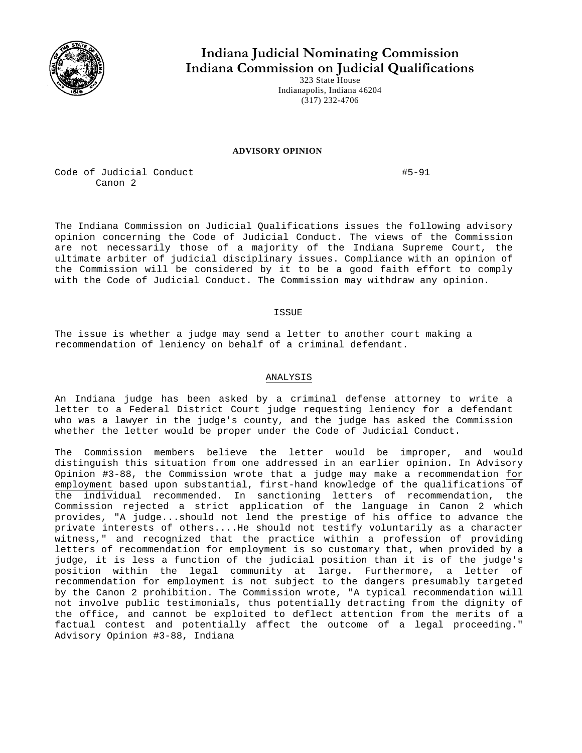

## **Indiana Judicial Nominating Commission Indiana Commission on Judicial Qualifications**

323 State House Indianapolis, Indiana 46204 (317) 232-4706

## **ADVISORY OPINION**

Code of Judicial Conduct  $\#5-91$ Canon 2

The Indiana Commission on Judicial Qualifications issues the following advisory opinion concerning the Code of Judicial Conduct. The views of the Commission are not necessarily those of a majority of the Indiana Supreme Court, the ultimate arbiter of judicial disciplinary issues. Compliance with an opinion of the Commission will be considered by it to be a good faith effort to comply with the Code of Judicial Conduct. The Commission may withdraw any opinion.

**TSSUE** 

The issue is whether a judge may send a letter to another court making a recommendation of leniency on behalf of a criminal defendant.

## ANALYSIS

An Indiana judge has been asked by a criminal defense attorney to write a letter to a Federal District Court judge requesting leniency for a defendant who was a lawyer in the judge's county, and the judge has asked the Commission whether the letter would be proper under the Code of Judicial Conduct.

The Commission members believe the letter would be improper, and would distinguish this situation from one addressed in an earlier opinion. In Advisory Opinion #3-88, the Commission wrote that a judge may make a recommendation for employment based upon substantial, first-hand knowledge of the qualifications of the individual recommended. In sanctioning letters of recommendation, the Commission rejected a strict application of the language in Canon 2 which provides, "A judge...should not lend the prestige of his office to advance the private interests of others....He should not testify voluntarily as a character witness," and recognized that the practice within a profession of providing letters of recommendation for employment is so customary that, when provided by a judge, it is less a function of the judicial position than it is of the judge's position within the legal community at large. Furthermore, a letter of recommendation for employment is not subject to the dangers presumably targeted by the Canon 2 prohibition. The Commission wrote, "A typical recommendation will not involve public testimonials, thus potentially detracting from the dignity of the office, and cannot be exploited to deflect attention from the merits of a factual contest and potentially affect the outcome of a legal proceeding." Advisory Opinion #3-88, Indiana